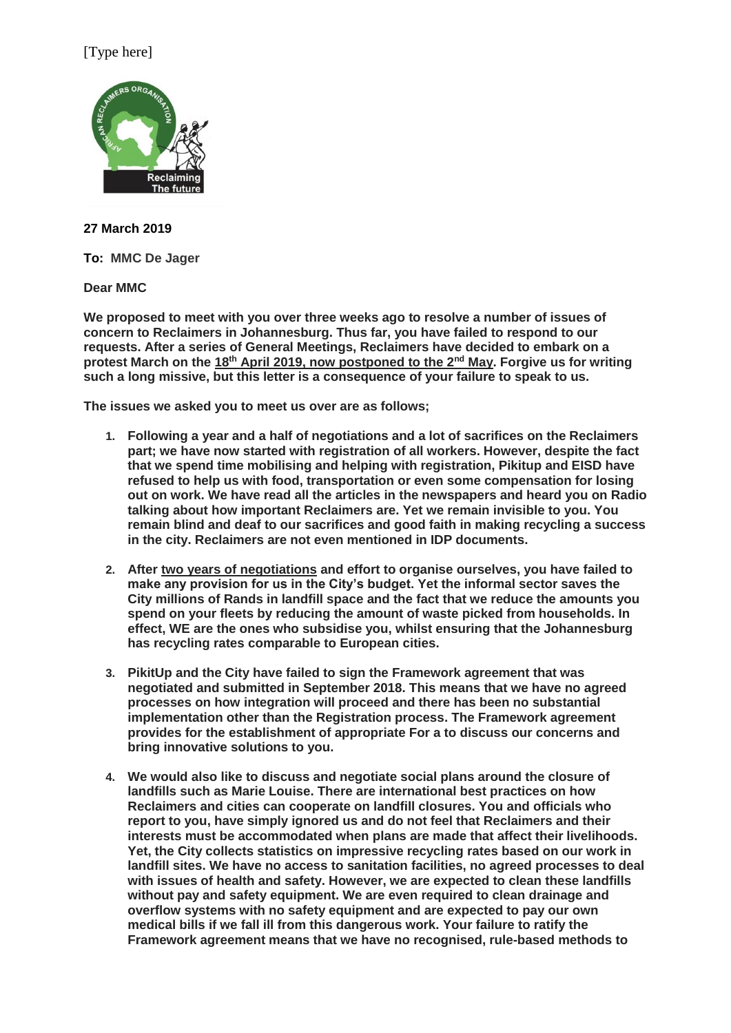## [Type here]



**27 March 2019**

**To: MMC De Jager**

**Dear MMC**

**We proposed to meet with you over three weeks ago to resolve a number of issues of concern to Reclaimers in Johannesburg. Thus far, you have failed to respond to our requests. After a series of General Meetings, Reclaimers have decided to embark on a protest March on the 18th April 2019, now postponed to the 2nd May. Forgive us for writing such a long missive, but this letter is a consequence of your failure to speak to us.**

**The issues we asked you to meet us over are as follows;**

- **1. Following a year and a half of negotiations and a lot of sacrifices on the Reclaimers part; we have now started with registration of all workers. However, despite the fact that we spend time mobilising and helping with registration, Pikitup and EISD have refused to help us with food, transportation or even some compensation for losing out on work. We have read all the articles in the newspapers and heard you on Radio talking about how important Reclaimers are. Yet we remain invisible to you. You remain blind and deaf to our sacrifices and good faith in making recycling a success in the city. Reclaimers are not even mentioned in IDP documents.**
- **2. After two years of negotiations and effort to organise ourselves, you have failed to make any provision for us in the City's budget. Yet the informal sector saves the City millions of Rands in landfill space and the fact that we reduce the amounts you spend on your fleets by reducing the amount of waste picked from households. In effect, WE are the ones who subsidise you, whilst ensuring that the Johannesburg has recycling rates comparable to European cities.**
- **3. PikitUp and the City have failed to sign the Framework agreement that was negotiated and submitted in September 2018. This means that we have no agreed processes on how integration will proceed and there has been no substantial implementation other than the Registration process. The Framework agreement provides for the establishment of appropriate For a to discuss our concerns and bring innovative solutions to you.**
- **4. We would also like to discuss and negotiate social plans around the closure of landfills such as Marie Louise. There are international best practices on how Reclaimers and cities can cooperate on landfill closures. You and officials who report to you, have simply ignored us and do not feel that Reclaimers and their interests must be accommodated when plans are made that affect their livelihoods. Yet, the City collects statistics on impressive recycling rates based on our work in landfill sites. We have no access to sanitation facilities, no agreed processes to deal with issues of health and safety. However, we are expected to clean these landfills without pay and safety equipment. We are even required to clean drainage and overflow systems with no safety equipment and are expected to pay our own medical bills if we fall ill from this dangerous work. Your failure to ratify the Framework agreement means that we have no recognised, rule-based methods to**